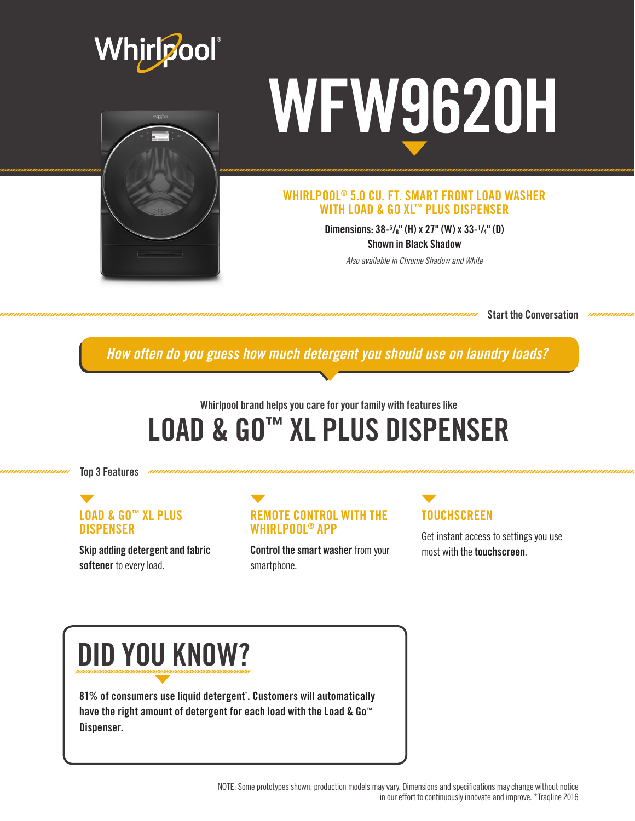



#### WHIRLPOOL® 5.0 CU. FT. SMART FRONT LOAD WASHER WITH LOAD & GO XL™ PLUS DISPENSER

Dimensions: 38-5 /8" (H) x 27" (W) x 33-1 /4" (D) Shown in Black Shadow

*Also available in Chrome Shadow and White*

Start the Conversation

*How often do you guess how much detergent you should use on laundry loads?*

## Whirlpool brand helps you care for your family with features like LOAD & GO™ XL PLUS DISPENSER

Top 3 Features

#### LOAD & GO™ XL PLUS **DISPENSER**

Skip adding detergent and fabric softener to every load.



Control the smart washer from your smartphone.

## **TOUCHSCREEN**

Get instant access to settings you use most with the touchscreen.

## DID YOU KNOW?

81% of consumers use liquid detergent\* . Customers will automatically have the right amount of detergent for each load with the Load & Go™ Dispenser.